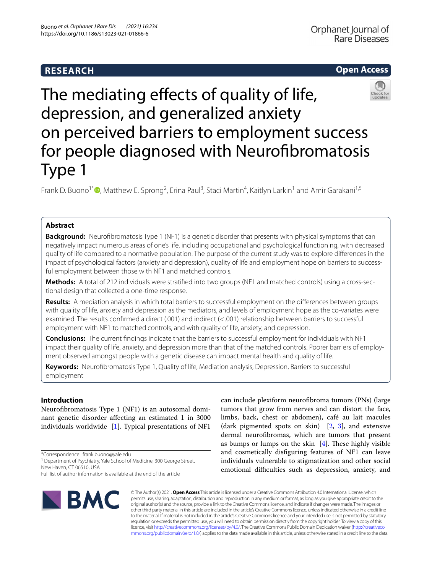# **RESEARCH**

# **Open Access**



# The mediating effects of quality of life, depression, and generalized anxiety on perceived barriers to employment success for people diagnosed with Neurofibromatosis Type 1

Frank D. Buono<sup>1\*</sup>®[,](http://orcid.org/0000-0003-1324-7857) Matthew E. Sprong<sup>2</sup>, Erina Paul<sup>3</sup>, Staci Martin<sup>4</sup>, Kaitlyn Larkin<sup>1</sup> and Amir Garakani<sup>1,5</sup>

## **Abstract**

**Background:** Neurofbromatosis Type 1 (NF1) is a genetic disorder that presents with physical symptoms that can negatively impact numerous areas of one's life, including occupational and psychological functioning, with decreased quality of life compared to a normative population. The purpose of the current study was to explore diferences in the impact of psychological factors (anxiety and depression), quality of life and employment hope on barriers to successful employment between those with NF1 and matched controls.

**Methods:** A total of 212 individuals were stratifed into two groups (NF1 and matched controls) using a cross-sectional design that collected a one-time response.

**Results:** A mediation analysis in which total barriers to successful employment on the diferences between groups with quality of life, anxiety and depression as the mediators, and levels of employment hope as the co-variates were examined. The results confrmed a direct (.001) and indirect (<.001) relationship between barriers to successful employment with NF1 to matched controls, and with quality of life, anxiety, and depression.

**Conclusions:** The current fndings indicate that the barriers to successful employment for individuals with NF1 impact their quality of life, anxiety, and depression more than that of the matched controls. Poorer barriers of employment observed amongst people with a genetic disease can impact mental health and quality of life.

**Keywords:** Neurofbromatosis Type 1, Quality of life, Mediation analysis, Depression, Barriers to successful employment

## **Introduction**

Neurofbromatosis Type 1 (NF1) is an autosomal dominant genetic disorder afecting an estimated 1 in 3000 individuals worldwide [[1\]](#page-6-0). Typical presentations of NF1

\*Correspondence: frank.buono@yale.edu

<sup>1</sup> Department of Psychiatry, Yale School of Medicine, 300 George Street, New Haven, CT 06510, USA

Full list of author information is available at the end of the article



can include plexiform neurofbroma tumors (PNs) (large tumors that grow from nerves and can distort the face, limbs, back, chest or abdomen), café au lait macules (dark pigmented spots on skin) [[2,](#page-6-1) [3\]](#page-6-2), and extensive dermal neurofbromas, which are tumors that present as bumps or lumps on the skin  $[4]$  $[4]$ . These highly visible and cosmetically disfguring features of NF1 can leave individuals vulnerable to stigmatization and other social emotional difficulties such as depression, anxiety, and

© The Author(s) 2021. **Open Access** This article is licensed under a Creative Commons Attribution 4.0 International License, which permits use, sharing, adaptation, distribution and reproduction in any medium or format, as long as you give appropriate credit to the original author(s) and the source, provide a link to the Creative Commons licence, and indicate if changes were made. The images or other third party material in this article are included in the article's Creative Commons licence, unless indicated otherwise in a credit line to the material. If material is not included in the article's Creative Commons licence and your intended use is not permitted by statutory regulation or exceeds the permitted use, you will need to obtain permission directly from the copyright holder. To view a copy of this licence, visit [http://creativecommons.org/licenses/by/4.0/.](http://creativecommons.org/licenses/by/4.0/) The Creative Commons Public Domain Dedication waiver ([http://creativeco](http://creativecommons.org/publicdomain/zero/1.0/) [mmons.org/publicdomain/zero/1.0/](http://creativecommons.org/publicdomain/zero/1.0/)) applies to the data made available in this article, unless otherwise stated in a credit line to the data.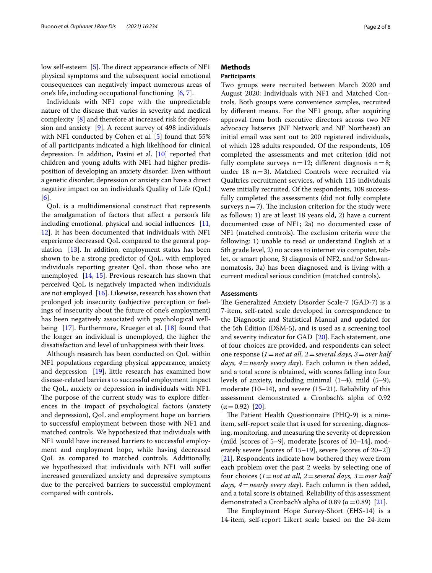low self-esteem [[5\]](#page-7-1). The direct appearance effects of NF1 physical symptoms and the subsequent social emotional consequences can negatively impact numerous areas of one's life, including occupational functioning [\[6](#page-7-2), [7\]](#page-7-3).

Individuals with NF1 cope with the unpredictable nature of the disease that varies in severity and medical complexity [\[8](#page-7-4)] and therefore at increased risk for depression and anxiety [\[9](#page-7-5)]. A recent survey of 498 individuals with NF1 conducted by Cohen et al. [[5\]](#page-7-1) found that 55% of all participants indicated a high likelihood for clinical depression. In addition, Pasini et al. [\[10](#page-7-6)] reported that children and young adults with NF1 had higher predisposition of developing an anxiety disorder. Even without a genetic disorder, depression or anxiety can have a direct negative impact on an individual's Quality of Life (QoL) [[6\]](#page-7-2).

QoL is a multidimensional construct that represents the amalgamation of factors that afect a person's life including emotional, physical and social infuences [\[11](#page-7-7), [12\]](#page-7-8). It has been documented that individuals with NF1 experience decreased QoL compared to the general population [[13\]](#page-7-9). In addition, employment status has been shown to be a strong predictor of QoL, with employed individuals reporting greater QoL than those who are unemployed [\[14,](#page-7-10) [15](#page-7-11)]. Previous research has shown that perceived QoL is negatively impacted when individuals are not employed [\[16\]](#page-7-12). Likewise, research has shown that prolonged job insecurity (subjective perception or feelings of insecurity about the future of one's employment) has been negatively associated with psychological well-being [\[17](#page-7-13)]. Furthermore, Krueger et al. [\[18](#page-7-14)] found that the longer an individual is unemployed, the higher the dissatisfaction and level of unhappiness with their lives.

Although research has been conducted on QoL within NF1 populations regarding physical appearance, anxiety and depression [\[19](#page-7-15)], little research has examined how disease-related barriers to successful employment impact the QoL, anxiety or depression in individuals with NF1. The purpose of the current study was to explore differences in the impact of psychological factors (anxiety and depression), QoL and employment hope on barriers to successful employment between those with NF1 and matched controls. We hypothesized that individuals with NF1 would have increased barriers to successful employment and employment hope, while having decreased QoL as compared to matched controls. Additionally, we hypothesized that individuals with NF1 will sufer increased generalized anxiety and depressive symptoms due to the perceived barriers to successful employment compared with controls.

## **Methods**

## **Participants**

Two groups were recruited between March 2020 and August 2020: Individuals with NF1 and Matched Controls. Both groups were convenience samples, recruited by diferent means. For the NF1 group, after acquiring approval from both executive directors across two NF advocacy listservs (NF Network and NF Northeast) an initial email was sent out to 200 registered individuals, of which 128 adults responded. Of the respondents, 105 completed the assessments and met criterion (did not fully complete surveys  $n=12$ ; different diagnosis  $n=8$ ; under 18  $n=3$ ). Matched Controls were recruited via Qualtrics recruitment services, of which 115 individuals were initially recruited. Of the respondents, 108 successfully completed the assessments (did not fully complete surveys  $n=7$ ). The inclusion criterion for the study were as follows: 1) are at least 18 years old, 2) have a current documented case of NF1; 2a) no documented case of NF1 (matched controls). The exclusion criteria were the following: 1) unable to read or understand English at a 5th grade level, 2) no access to internet via computer, tablet, or smart phone, 3) diagnosis of NF2, and/or Schwannomatosis, 3a) has been diagnosed and is living with a current medical serious condition (matched controls).

## **Assessments**

The Generalized Anxiety Disorder Scale-7 (GAD-7) is a 7-item, self-rated scale developed in correspondence to the Diagnostic and Statistical Manual and updated for the 5th Edition (DSM-5), and is used as a screening tool and severity indicator for GAD [[20\]](#page-7-16). Each statement, one of four choices are provided, and respondents can select one response (*1*=*not at all, 2*=*several days, 3*=*over half days, 4*=*nearly every day*). Each column is then added, and a total score is obtained, with scores falling into four levels of anxiety, including minimal  $(1-4)$ , mild  $(5-9)$ , moderate (10–14), and severe (15–21). Reliability of this assessment demonstrated a Cronbach's alpha of 0.92  $(\alpha = 0.92)$  [\[20](#page-7-16)].

The Patient Health Questionnaire (PHQ-9) is a nineitem, self-report scale that is used for screening, diagnosing, monitoring, and measuring the severity of depression (mild [scores of 5–9], moderate [scores of 10–14], moderately severe [scores of 15–19], severe [scores of 20–2]) [[21\]](#page-7-17). Respondents indicate how bothered they were from each problem over the past 2 weeks by selecting one of four choices (*1*=*not at all, 2*=*several days, 3*=*over half days, 4*=*nearly every day*). Each column is then added, and a total score is obtained. Reliability of this assessment demonstrated a Cronbach's alpha of 0.89 ( $\alpha$  = 0.89) [\[21\]](#page-7-17).

The Employment Hope Survey-Short (EHS-14) is a 14-item, self-report Likert scale based on the 24-item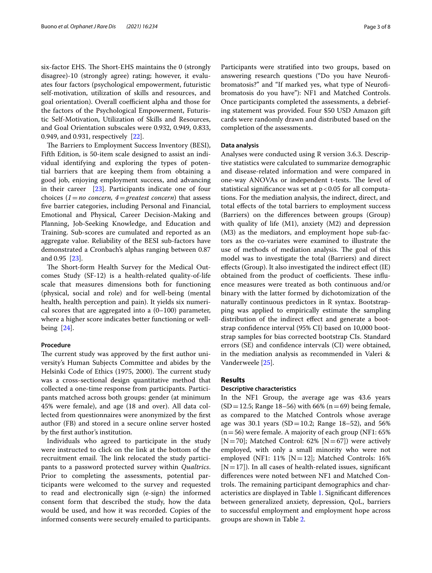six-factor EHS. The Short-EHS maintains the 0 (strongly disagree)-10 (strongly agree) rating; however, it evaluates four factors (psychological empowerment, futuristic self-motivation, utilization of skills and resources, and goal orientation). Overall coefficient alpha and those for the factors of the Psychological Empowerment, Futuristic Self-Motivation, Utilization of Skills and Resources, and Goal Orientation subscales were 0.932, 0.949, 0.833, 0.949, and 0.931, respectively [\[22](#page-7-18)].

The Barriers to Employment Success Inventory (BESI), Fifth Edition, is 50-item scale designed to assist an individual identifying and exploring the types of potential barriers that are keeping them from obtaining a good job, enjoying employment success, and advancing in their career [[23\]](#page-7-19). Participants indicate one of four choices (*1*=*no concern, 4*=*greatest concern*) that assess fve barrier categories, including Personal and Financial, Emotional and Physical, Career Decision-Making and Planning, Job-Seeking Knowledge, and Education and Training. Sub-scores are cumulated and reported as an aggregate value. Reliability of the BESI sub-factors have demonstrated a Cronbach's alphas ranging between 0.87 and 0.95 [[23\]](#page-7-19).

The Short-form Health Survey for the Medical Outcomes Study (SF-12) is a health-related quality-of-life scale that measures dimensions both for functioning (physical, social and role) and for well-being (mental health, health perception and pain). It yields six numerical scores that are aggregated into a  $(0-100)$  parameter, where a higher score indicates better functioning or wellbeing [\[24\]](#page-7-20).

## **Procedure**

The current study was approved by the first author university's Human Subjects Committee and abides by the Helsinki Code of Ethics (1975, 2000). The current study was a cross-sectional design quantitative method that collected a one-time response from participants. Participants matched across both groups: gender (at minimum 45% were female), and age (18 and over). All data collected from questionnaires were anonymized by the frst author (FB) and stored in a secure online server hosted by the frst author's institution.

Individuals who agreed to participate in the study were instructed to click on the link at the bottom of the recruitment email. The link relocated the study participants to a password protected survey within *Qualtrics*. Prior to completing the assessments, potential participants were welcomed to the survey and requested to read and electronically sign (e-sign) the informed consent form that described the study, how the data would be used, and how it was recorded. Copies of the informed consents were securely emailed to participants. Participants were stratifed into two groups, based on answering research questions ("Do you have Neurofbromatosis?" and "If marked yes, what type of Neurofbromatosis do you have"): NF1 and Matched Controls. Once participants completed the assessments, a debriefing statement was provided. Four \$50 USD Amazon gift cards were randomly drawn and distributed based on the completion of the assessments.

## **Data analysis**

Analyses were conducted using R version 3.6.3. Descriptive statistics were calculated to summarize demographic and disease-related information and were compared in one-way ANOVAs or independent t-tests. The level of statistical significance was set at  $p < 0.05$  for all computations. For the mediation analysis, the indirect, direct, and total efects of the total barriers to employment success (Barriers) on the diferences between groups (Group) with quality of life (M1), anxiety (M2) and depression (M3) as the mediators, and employment hope sub-factors as the co-variates were examined to illustrate the use of methods of mediation analysis. The goal of this model was to investigate the total (Barriers) and direct efects (Group). It also investigated the indirect efect (IE) obtained from the product of coefficients. These influence measures were treated as both continuous and/or binary with the latter formed by dichotomization of the naturally continuous predictors in R syntax. Bootstrapping was applied to empirically estimate the sampling distribution of the indirect effect and generate a bootstrap confdence interval (95% CI) based on 10,000 bootstrap samples for bias corrected bootstrap CIs. Standard errors (SE) and confdence intervals (CI) were obtained, in the mediation analysis as recommended in Valeri & Vanderweele [[25\]](#page-7-21).

## **Results**

#### **Descriptive characteristics**

In the NF1 Group, the average age was 43.6 years  $(SD = 12.5;$  Range 18–56) with 66% (n = 69) being female, as compared to the Matched Controls whose average age was 30.1 years (SD = 10.2; Range 18–52), and 56%  $(n=56)$  were female. A majority of each group (NF1: 65%) [N=70]; Matched Control: 62% [N=67]) were actively employed, with only a small minority who were not employed (NF1: 11% [N=12]; Matched Controls: 16%  $[N=17]$ ). In all cases of health-related issues, significant diferences were noted between NF1 and Matched Controls. The remaining participant demographics and characteristics are displayed in Table [1.](#page-3-0) Signifcant diferences between generalized anxiety, depression, QoL, barriers to successful employment and employment hope across groups are shown in Table [2.](#page-4-0)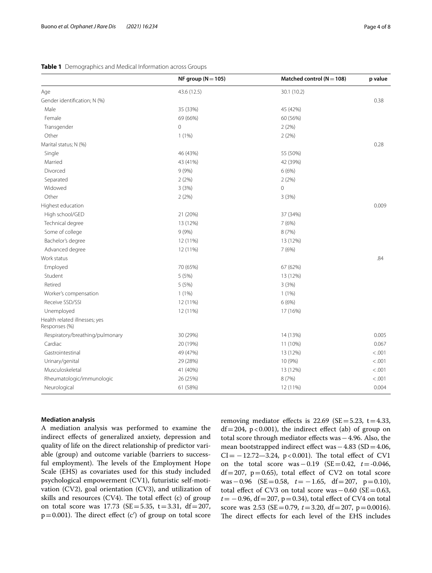## <span id="page-3-0"></span>**Table 1** Demographics and Medical Information across Groups

|                                                | NF group ( $N = 105$ ) | Matched control ( $N = 108$ ) | p value |
|------------------------------------------------|------------------------|-------------------------------|---------|
| Age                                            | 43.6 (12.5)            | 30.1 (10.2)                   |         |
| Gender identification; N (%)                   |                        |                               | 0.38    |
| Male                                           | 35 (33%)               | 45 (42%)                      |         |
| Female                                         | 69 (66%)               | 60 (56%)                      |         |
| Transgender                                    | $\overline{0}$         | 2(2%)                         |         |
| Other                                          | 1(1%)                  | 2(2%)                         |         |
| Marital status; N (%)                          |                        |                               | 0.28    |
| Single                                         | 46 (43%)               | 55 (50%)                      |         |
| Married                                        | 43 (41%)               | 42 (39%)                      |         |
| Divorced                                       | 9(9%)                  | 6(6%)                         |         |
| Separated                                      | 2(2%)                  | 2(2%)                         |         |
| Widowed                                        | 3(3%)                  | $\mathbf{0}$                  |         |
| Other                                          | 2(2%)                  | 3(3%)                         |         |
| Highest education                              |                        |                               | 0.009   |
| High school/GED                                | 21 (20%)               | 37 (34%)                      |         |
| Technical degree                               | 13 (12%)               | 7(6%)                         |         |
| Some of college                                | 9(9%)                  | 8 (7%)                        |         |
| Bachelor's degree                              | 12 (11%)               | 13 (12%)                      |         |
| Advanced degree                                | 12 (11%)               | 7(6%)                         |         |
| Work status                                    |                        |                               | .84     |
| Employed                                       | 70 (65%)               | 67 (62%)                      |         |
| Student                                        | 5(5%)                  | 13 (12%)                      |         |
| Retired                                        | 5(5%)                  | 3(3%)                         |         |
| Worker's compensation                          | 1(1%)                  | 1(1%)                         |         |
| Receive SSD/SSI                                | 12 (11%)               | 6(6%)                         |         |
| Unemployed                                     | 12 (11%)               | 17 (16%)                      |         |
| Health related illnesses; yes<br>Responses (%) |                        |                               |         |
| Respiratory/breathing/pulmonary                | 30 (29%)               | 14 (13%)                      | 0.005   |
| Cardiac                                        | 20 (19%)               | 11 (10%)                      | 0.067   |
| Gastrointestinal                               | 49 (47%)               | 13 (12%)                      | < 0.001 |
| Urinary/genital                                | 29 (28%)               | 10 (9%)                       | < .001  |
| Musculoskeletal                                | 41 (40%)               | 13 (12%)                      | < .001  |
| Rheumatologic/immunologic                      | 26 (25%)               | 8 (7%)                        | < .001  |
| Neurological                                   | 61 (58%)               | 12 (11%)                      | 0.004   |

## **Mediation analysis**

A mediation analysis was performed to examine the indirect efects of generalized anxiety, depression and quality of life on the direct relationship of predictor variable (group) and outcome variable (barriers to successful employment). The levels of the Employment Hope Scale (EHS) as covariates used for this study included psychological empowerment (CV1), futuristic self-motivation (CV2), goal orientation (CV3), and utilization of skills and resources  $(CV4)$ . The total effect  $(c)$  of group on total score was 17.73 (SE=5.35, t=3.31, df=207,  $p=0.001$ ). The direct effect (c') of group on total score removing mediator effects is  $22.69$  (SE=5.23, t=4.33,  $df = 204$ , p < 0.001), the indirect effect (ab) of group on total score through mediator efects was−4.96. Also, the mean bootstrapped indirect efect was−4.83 (SD=4.06,  $CI = -12.72 - 3.24$ , p<0.001). The total effect of CV1 on the total score was−0.19 (SE=0.42, *t*=-0.046,  $df = 207$ ,  $p = 0.65$ ), total effect of CV2 on total score was−0.96 (SE=0.58, *t*= −1.65, df=207, p=0.10), total effect of CV3 on total score was  $-0.60$  (SE=0.63, *t* = −0.96, df = 207, p = 0.34), total effect of CV4 on total score was 2.53 (SE = 0.79,  $t = 3.20$ , df = 207, p = 0.0016). The direct effects for each level of the EHS includes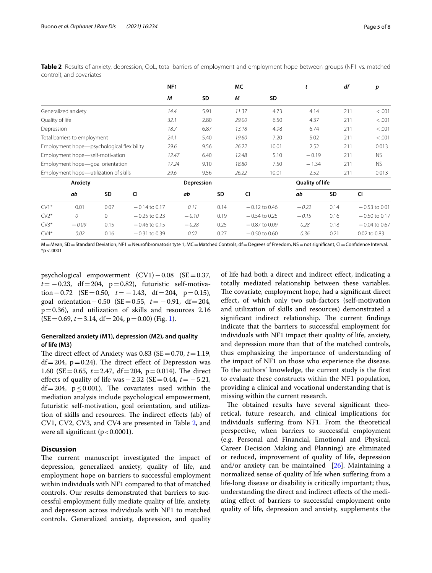|                                       |                                           |          |                 | NF <sub>1</sub> |           |                        | МC    |                 | t       | df        | p               |
|---------------------------------------|-------------------------------------------|----------|-----------------|-----------------|-----------|------------------------|-------|-----------------|---------|-----------|-----------------|
|                                       |                                           |          |                 | М               | <b>SD</b> |                        | М     | <b>SD</b>       |         |           |                 |
|                                       | Generalized anxiety                       |          |                 | 14.4            | 5.91      |                        | 11.37 | 4.73            | 4.14    | 211       | < .001          |
| Quality of life                       |                                           |          | 32.1            | 2.80            |           | 29.00                  | 6.50  | 4.37            | 211     | < .001    |                 |
| Depression                            |                                           |          | 18.7            | 6.87            |           | 13.18                  | 4.98  | 6.74            | 211     | < .001    |                 |
| Total barriers to employment          |                                           | 24.1     | 5.40            |                 | 19.60     | 7.20                   | 5.02  | 211             | < .001  |           |                 |
|                                       | Employment hope-psychological flexibility |          |                 | 29.6            | 9.56      |                        | 26.22 | 10.01           | 2.52    | 211       | 0.013           |
| Employment hope-self-motivation       |                                           |          | 12.47           | 6.40            |           | 12.48                  | 5.10  | $-0.19$         | 211     | NS.       |                 |
| Employment hope-goal orientation      |                                           |          | 17.24           | 9.10            |           | 18.80                  | 7.50  | $-1.34$         | 211     | <b>NS</b> |                 |
| Employment hope-utilization of skills |                                           | 29.6     | 9.56            |                 | 26.22     | 10.01                  | 2.52  | 211             | 0.013   |           |                 |
| Anxiety                               |                                           |          |                 | Depression      |           | <b>Quality of life</b> |       |                 |         |           |                 |
|                                       | ab                                        | SD       | <b>CI</b>       |                 | ab        | <b>SD</b>              | CI    |                 | ab      | <b>SD</b> | CI              |
| $CV1*$                                | 0.01                                      | 0.07     | $-0.14$ to 0.17 |                 | 0.11      | 0.14                   |       | $-0.12$ to 0.46 | $-0.22$ | 0.14      | $-0.53$ to 0.01 |
| $CV2*$                                | $\theta$                                  | $\Omega$ | $-0.25$ to 0.23 |                 | $-0.10$   | 0.19                   |       | $-0.54$ to 0.25 | $-0.15$ | 0.16      | $-0.50$ to 0.17 |
| $CV3*$                                | $-0.09$                                   | 0.15     | $-0.46$ to 0.15 |                 | $-0.28$   | 0.25                   |       | $-0.87$ to 0.09 | 0.28    | 0.18      | $-0.04$ to 0.67 |
| $CV4*$                                | 0.02                                      | 0.16     | $-0.31$ to 0.39 |                 | 0.02      | 0.27                   |       | $-0.50$ to 0.60 | 0.36    | 0.21      | 0.02 to 0.83    |

<span id="page-4-0"></span>**Table 2** Results of anxiety, depression, QoL, total barriers of employment and employment hope between groups (NF1 vs. matched control), and covariates

M = Mean; SD = Standard Deviation; NF1 = Neurofibromatosis tyte 1; MC = Matched Controls; df = Degrees of Freedom, NS = not significant, CI = Confidence Interval.  $*$ p < .0001

psychological empowerment (CV1)−0.08 (SE=0.37,  $t = -0.23$ , df=204, p=0.82), futuristic self-motivation − 0.72 (SE = 0.50,  $t = -1.43$ , df = 204, p = 0.15), goal orientation−0.50 (SE=0.55, *t*= −0.91, df=204, p=0.36), and utilization of skills and resources 2.16  $(SE=0.69, t=3.14, df=204, p=0.00)$  (Fig. [1\)](#page-5-0).

## **Generalized anxiety (M1), depression (M2), and quality of life (M3)**

The direct effect of Anxiety was 0.83 ( $SE = 0.70$ ,  $t = 1.19$ ,  $df = 204$ , p=0.24). The direct effect of Depression was 1.60 (SE = 0.65,  $t = 2.47$ , df = 204, p = 0.014). The direct efects of quality of life was−2.32 (SE=0.44, *t*= −5.21, df=204,  $p \le 0.001$ ). The covariates used within the mediation analysis include psychological empowerment, futuristic self-motivation, goal orientation, and utilization of skills and resources. The indirect effects (ab) of CV1, CV2, CV3, and CV4 are presented in Table [2,](#page-4-0) and were all significant  $(p < 0.0001)$ .

## **Discussion**

The current manuscript investigated the impact of depression, generalized anxiety, quality of life, and employment hope on barriers to successful employment within individuals with NF1 compared to that of matched controls. Our results demonstrated that barriers to successful employment fully mediate quality of life, anxiety, and depression across individuals with NF1 to matched controls. Generalized anxiety, depression, and quality

of life had both a direct and indirect efect, indicating a totally mediated relationship between these variables. The covariate, employment hope, had a significant direct efect, of which only two sub-factors (self-motivation and utilization of skills and resources) demonstrated a significant indirect relationship. The current findings indicate that the barriers to successful employment for individuals with NF1 impact their quality of life, anxiety, and depression more than that of the matched controls, thus emphasizing the importance of understanding of the impact of NF1 on those who experience the disease. To the authors' knowledge, the current study is the frst to evaluate these constructs within the NF1 population, providing a clinical and vocational understanding that is missing within the current research.

The obtained results have several significant theoretical, future research, and clinical implications for individuals sufering from NF1. From the theoretical perspective, when barriers to successful employment (e.g. Personal and Financial, Emotional and Physical, Career Decision Making and Planning) are eliminated or reduced, improvement of quality of life, depression and/or anxiety can be maintained  $[26]$  $[26]$ . Maintaining a normalized sense of quality of life when sufering from a life-long disease or disability is critically important; thus, understanding the direct and indirect efects of the mediating efect of barriers to successful employment onto quality of life, depression and anxiety, supplements the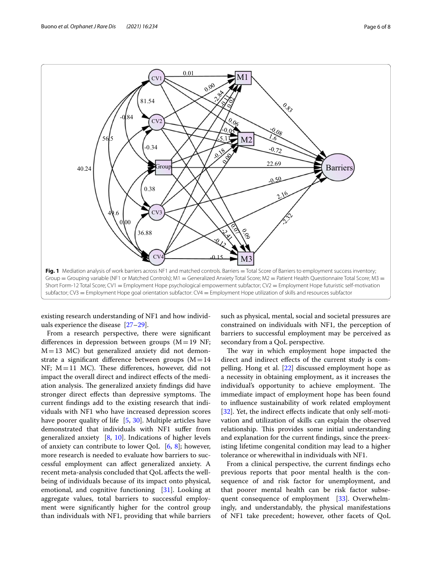

<span id="page-5-0"></span>existing research understanding of NF1 and how individuals experience the disease [\[27–](#page-7-23)[29\]](#page-7-24).

From a research perspective, there were signifcant differences in depression between groups  $(M=19 \text{ NF};$  $M=13$  MC) but generalized anxiety did not demonstrate a significant difference between groups  $(M=14)$ NF;  $M=11$  MC). These differences, however, did not impact the overall direct and indirect efects of the mediation analysis. The generalized anxiety findings did have stronger direct effects than depressive symptoms. The current fndings add to the existing research that individuals with NF1 who have increased depression scores have poorer quality of life [[5,](#page-7-1) [30\]](#page-7-25). Multiple articles have demonstrated that individuals with NF1 sufer from generalized anxiety [\[8](#page-7-4), [10\]](#page-7-6). Indications of higher levels of anxiety can contribute to lower QoL  $[6, 8]$  $[6, 8]$  $[6, 8]$ ; however, more research is needed to evaluate how barriers to successful employment can afect generalized anxiety. A recent meta-analysis concluded that QoL afects the wellbeing of individuals because of its impact onto physical, emotional, and cognitive functioning [\[31](#page-7-26)]. Looking at aggregate values, total barriers to successful employment were signifcantly higher for the control group than individuals with NF1, providing that while barriers such as physical, mental, social and societal pressures are constrained on individuals with NF1, the perception of barriers to successful employment may be perceived as secondary from a QoL perspective.

The way in which employment hope impacted the direct and indirect efects of the current study is compelling. Hong et al. [\[22\]](#page-7-18) discussed employment hope as a necessity in obtaining employment, as it increases the individual's opportunity to achieve employment. The immediate impact of employment hope has been found to infuence sustainability of work related employment [[32\]](#page-7-27). Yet, the indirect effects indicate that only self-motivation and utilization of skills can explain the observed relationship. This provides some initial understanding and explanation for the current fndings, since the preexisting lifetime congenital condition may lead to a higher tolerance or wherewithal in individuals with NF1.

From a clinical perspective, the current fndings echo previous reports that poor mental health is the consequence of and risk factor for unemployment, and that poorer mental health can be risk factor subse-quent consequence of employment [[33](#page-7-28)]. Overwhelmingly, and understandably, the physical manifestations of NF1 take precedent; however, other facets of QoL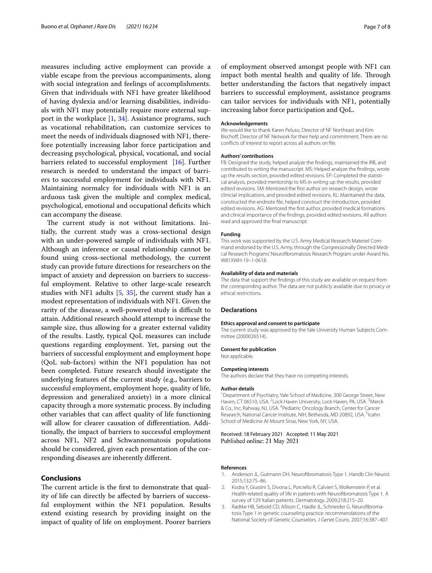measures including active employment can provide a viable escape from the previous accompaniments, along with social integration and feelings of accomplishments. Given that individuals with NF1 have greater likelihood of having dyslexia and/or learning disabilities, individuals with NF1 may potentially require more external support in the workplace [\[1](#page-6-0), [34](#page-7-29)]. Assistance programs, such as vocational rehabilitation, can customize services to meet the needs of individuals diagnosed with NF1, therefore potentially increasing labor force participation and decreasing psychological, physical, vocational, and social barriers related to successful employment [\[16\]](#page-7-12). Further research is needed to understand the impact of barriers to successful employment for individuals with NF1. Maintaining normalcy for individuals with NF1 is an arduous task given the multiple and complex medical, psychological, emotional and occupational defcits which can accompany the disease.

The current study is not without limitations. Initially, the current study was a cross-sectional design with an under-powered sample of individuals with NF1. Although an inference or causal relationship cannot be found using cross-sectional methodology, the current study can provide future directions for researchers on the impact of anxiety and depression on barriers to successful employment. Relative to other large-scale research studies with NF1 adults [\[5](#page-7-1), [35\]](#page-7-30), the current study has a modest representation of individuals with NF1. Given the rarity of the disease, a well-powered study is difficult to attain. Additional research should attempt to increase the sample size, thus allowing for a greater external validity of the results. Lastly, typical QoL measures can include questions regarding employment. Yet, parsing out the barriers of successful employment and employment hope (QoL sub-factors) within the NF1 population has not been completed. Future research should investigate the underlying features of the current study (e.g., barriers to successful employment, employment hope, quality of life, depression and generalized anxiety) in a more clinical capacity through a more systematic process. By including other variables that can afect quality of life functioning will allow for clearer causation of diferentiation. Additionally, the impact of barriers to successful employment across NF1, NF2 and Schwannomatosis populations should be considered, given each presentation of the corresponding diseases are inherently diferent.

## **Conclusions**

The current article is the first to demonstrate that quality of life can directly be afected by barriers of successful employment within the NF1 population. Results extend existing research by providing insight on the impact of quality of life on employment. Poorer barriers

of employment observed amongst people with NF1 can impact both mental health and quality of life. Through better understanding the factors that negatively impact barriers to successful employment, assistance programs can tailor services for individuals with NF1, potentially increasing labor force participation and QoL.

#### **Acknowledgements**

We would like to thank Karen Peluso, Director of NF Northeast and Kim Bischoff, Director of NF Network for their help and commitment. There are no conficts of interest to report across all authors on fle.

#### **Authors' contributions**

FB: Designed the study, helped analyze the fndings, maintained the IRB, and contributed to writing the manuscript. MS: Helped analyze the fndings, wrote up the results section, provided edited revisions. EP: Completed the statistical analysis, provided mentorship to MS in writing up the results, provided edited revisions. SM: Mentored the frst author on research design, wrote clinicial implications, and provided edited revisions. KL: Maintained the data, constructed the endnote fle, helped construct the introduction, provided edited revisions. AG: Mentored the frst author, provided medical formations and clinical importance of the fndings, provided edited revisions. All authors read and approved the fnal manuscript.

#### **Funding**

This work was supported by the U.S. Army Medical Research Materiel Command endorsed by the U.S. Army, through the Congressionally Directed Medical Research Programs' Neurofbromatosis Research Program under Award No. W81XWH-19–1-0618.

#### **Availability of data and materials**

The data that support the fndings of this study are available on request from the corresponding author. The data are not publicly available due to privacy or ethical restrictions.

#### **Declarations**

#### **Ethics approval and consent to participate**

The current study was approved by the Yale University Human Subjects Committee (2000026514).

#### **Consent for publication**

Not applicable.

#### **Competing interests**

The authors declare that they have no competing interests.

#### **Author details**

<sup>1</sup> Department of Psychiatry, Yale School of Medicine, 300 George Street, New Haven, CT 06510, USA. <sup>2</sup> Lock Haven University, Lock Haven, PA, USA. <sup>3</sup> Merck & Co., Inc, Rahway, NJ, USA. <sup>4</sup> Pediatric Oncology Branch, Center for Cancer Research, National Cancer Institute, NIH, Bethesda, MD 20892, USA. <sup>5</sup>Icahn School of Medicine At Mount Sinai, New York, NY, USA.

#### Received: 18 February 2021 Accepted: 11 May 2021 Published online: 21 May 2021

#### **References**

- <span id="page-6-0"></span>1. Anderson JL, Gutmann DH, Neurofibromatosis Type 1, Handb Clin Neurol. 2015;132:75–86.
- <span id="page-6-1"></span>2. Kodra Y, Giustini S, Divona L, Porciello R, Calvieri S, Wolkenstein P, et al. Health-related quality of life in patients with Neurofbromatosis Type 1. A survey of 129 Italian patients. Dermatology. 2009;218:215–20.
- <span id="page-6-2"></span>3. Radtke HB, Sebold CD, Allison C, Haidle JL, Schneider G. Neurofbromatosis Type 1 in genetic counseling practice: recommendations of the National Society of Genetic Counselors. J Genet Couns. 2007;16:387–407.